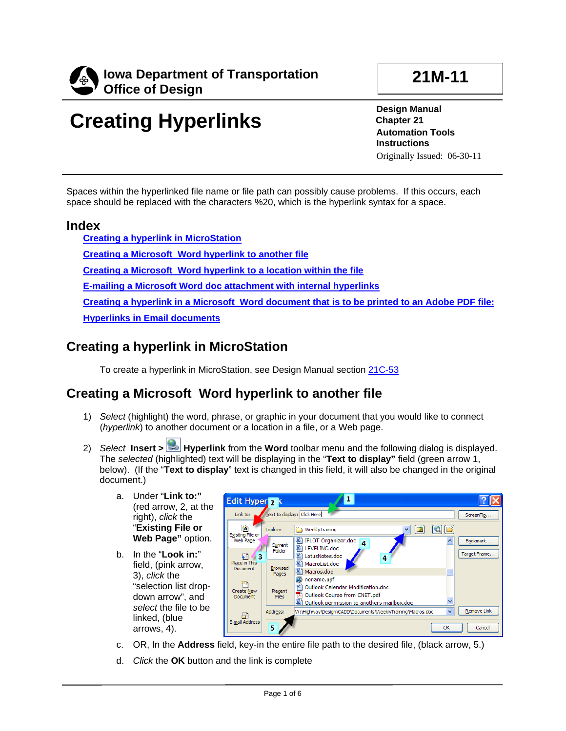

# **21M-11**

# **Creating Hyperlinks**

**Design Manual Chapter 21 Automation Tools Instructions** Originally Issued: 06-30-11

Spaces within the hyperlinked file name or file path can possibly cause problems. If this occurs, each space should be replaced with the characters %20, which is the hyperlink syntax for a space.

#### **Index**

**[Creating a hyperlink in MicroStation](#page-0-0) [Creating a Microsoft Word hyperlink to another file](#page-0-1) [Creating a Microsoft Word hyperlink to a location within the file](#page-1-0) E-mailing a Microsoft Word doc attachment with internal hyperlinks [Creating a hyperlink in a Microsoft Word document that is to be printed to an Adobe PDF file:](#page-3-0) [Hyperlinks in Email documents](#page-3-1)**

# <span id="page-0-0"></span>**Creating a hyperlink in MicroStation**

To create a hyperlink in MicroStation, see Design Manual section 21C-53

## <span id="page-0-1"></span>**Creating a Microsoft Word hyperlink to another file**

- 1) *Select* (highlight) the word, phrase, or graphic in your document that you would like to connect (*hyperlink*) to another document or a location in a file, or a Web page.
- 2) *Select* **Insert > Hyperlink** from the **Word** toolbar menu and the following dialog is displayed. The *selected* (highlighted) text will be displaying in the "**Text to display"** field (green arrow 1, below). (If the "**Text to display**" text is changed in this field, it will also be changed in the original document.)
	- a. Under "**Link to:"**  (red arrow, 2, at the right), *click* the "**Existing File or Web Page"** option.
	- b. In the "**Look in:**" field, (pink arrow, 3), *click* the "selection list dropdown arrow", and *select* the file to be linked, (blue arrows, 4).



- c. OR, In the **Address** field, key-in the entire file path to the desired file, (black arrow, 5.)
- d. *Click* the **OK** button and the link is complete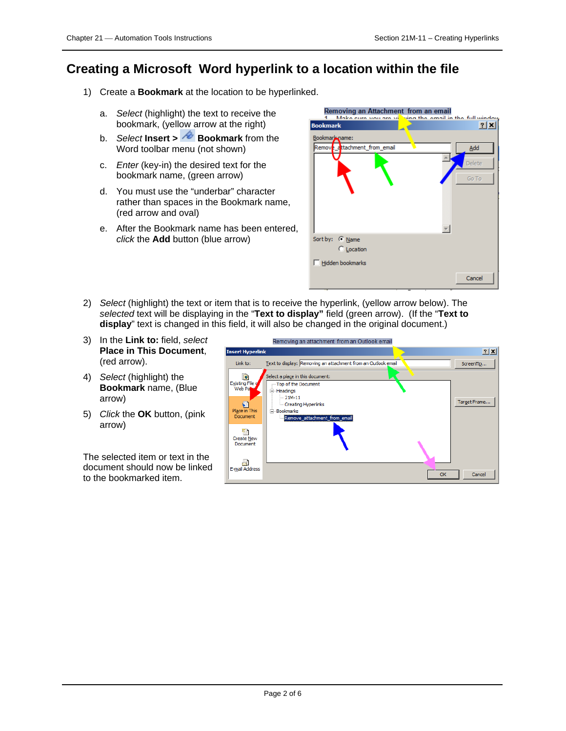# <span id="page-1-0"></span>**Creating a Microsoft Word hyperlink to a location within the file**

- 1) Create a **Bookmark** at the location to be hyperlinked.
	- a. *Select* (highlight) the text to receive the bookmark, (yellow arrow at the right)
	- b. *Select* **Insert > Bookmark** from the Word toolbar menu (not shown)
	- c. *Enter* (key-in) the desired text for the bookmark name, (green arrow)
	- d. You must use the "underbar" character rather than spaces in the Bookmark name, (red arrow and oval)
	- e. After the Bookmark name has been entered, *click* the **Add** button (blue arrow)

| Removing an Attachment from an email<br>Make ours you are you wing the email in the full window |        |
|-------------------------------------------------------------------------------------------------|--------|
| <b>Bookmark</b>                                                                                 | 2 X    |
| Bookmark name:                                                                                  |        |
| Remove dttachment from email                                                                    | Add    |
|                                                                                                 | Delete |
|                                                                                                 | Go To  |
|                                                                                                 |        |
|                                                                                                 |        |
|                                                                                                 |        |
| Sort by: C Name                                                                                 |        |
| C Location                                                                                      |        |
| Hidden bookmarks                                                                                |        |
|                                                                                                 | Cancel |

- 2) *Select* (highlight) the text or item that is to receive the hyperlink, (yellow arrow below). The *selected* text will be displaying in the "**Text to display"** field (green arrow). (If the "**Text to display**" text is changed in this field, it will also be changed in the original document.)
- 3) In the **Link to:** field, *select*  **Place in This Document**, (red arrow).
- 4) *Select* (highlight) the **Bookmark** name, (Blue arrow)
- 5) *Click* the **OK** button, (pink arrow)

The selected item or text in the document should now be linked to the bookmarked item.

| Removing an attachment from an Outlook email                                     |              |
|----------------------------------------------------------------------------------|--------------|
| <b>Insert Hyperlink</b>                                                          | 口凶           |
| Text to display: Removing an attachment from an Outlook email<br>Link to:        | ScreenTip    |
| Select a place in this document:<br>ø                                            |              |
| <b>Existing File g</b><br>Top of the Document<br>Web Pa<br>E Headings            |              |
| $-21M-11$<br>- Creating Hyperlinks                                               | Target Frame |
| Place in This<br><b>E</b> -Bookmarks<br>Document<br>Remove_attachment_from_email |              |
|                                                                                  |              |
| <b>Create New</b><br>Document                                                    |              |
|                                                                                  |              |
| E-mail Address<br>OK                                                             | Cancel       |
|                                                                                  |              |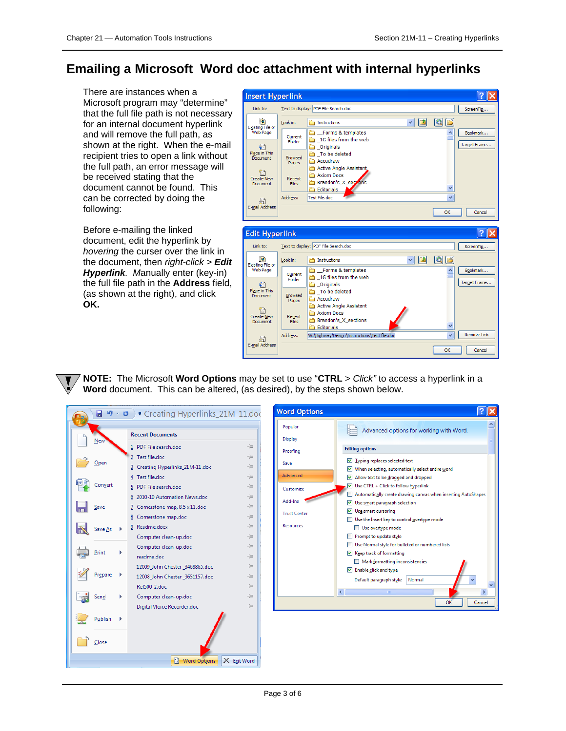$\sqrt{2}$ 

 $\overline{\phantom{a}}$ Cancel

# **Emailing a Microsoft Word doc attachment with internal hyperlinks**

There are instances when a Microsoft program may "determine" that the full file path is not necessary for an internal document hyperlink and will remove the full path, as shown at the right. When the e-mail recipient tries to open a link without the full path, an error message will be received stating that the document cannot be found. This can be corrected by doing the following:

Before e-mailing the linked document, edit the hyperlink by *hovering* the curser over the link in the document, then *right-click > Edit Hyperlink. M*anually enter (key-in) the full file path in the **Address** field, (as shown at the right), and click **OK.**



**NOTE:** The Microsoft **Word Options** may be set to use "**CTRL** > *Click"* to access a hyperlink in a **Word** document. This can be altered, (as desired), by the steps shown below.

| $\equiv$<br>1 PDF File search.doc<br><b>Editing options</b><br>Proofing<br>2 Test file.doc<br>-14<br>$\triangledown$ Typing replaces selected text<br>Open<br>Save<br>同<br>3 Creating Hyperlinks_21M-11.doc<br>$\vee$ When selecting, automatically select entire word<br>Advanced<br>$\equiv$<br>4 Test file.doc<br>Allow text to be dragged and dropped<br>$\triangledown$ Use CTRL + Click to follow hyperlink<br>5 PDF File search.doc<br>$\equiv$<br>Customize<br>$\equiv$<br>6 2010-10 Automation News.doc<br>Add-Ins<br>$\triangledown$ Use smart paragraph selection<br>-14<br>7 Cornerstone map, 8.5 x 11.doc<br>$\triangledown$ Use smart cursoring<br><b>Trust Center</b><br>同<br>8 Cornerstone map.doc<br>Use the Insert key to control overtype mode<br><b>Resources</b><br>9 Readme.docx<br>同<br>Use overtype mode<br>Save As<br>Prompt to update style<br>$\equiv$<br>$\Box$<br>Computer clean-up.doc<br>Use Normal style for bulleted or numbered lists<br>п<br>$\equiv$<br>Computer clean-up.doc<br>Print<br>☑ Keep track of formatting<br>一回<br>readme.doc<br>Mark formatting inconsistencies<br>$\equiv$<br>12009_John Chester_3468865.doc<br>$\triangleright$ Enable click and type<br>Prepare<br>同<br>12008_John Chester_3651157.doc<br>Default paragraph style:<br>Normal<br>$\equiv$<br>Ref500-2.doc<br>Computer clean-up.doc<br>$\equiv$<br>Send<br>OK<br>一回<br>Digital Vloice Recorder.doc<br>Publish |         | <b>Recent Documents</b> | Display | Advanced options for working with Word.                       |
|--------------------------------------------------------------------------------------------------------------------------------------------------------------------------------------------------------------------------------------------------------------------------------------------------------------------------------------------------------------------------------------------------------------------------------------------------------------------------------------------------------------------------------------------------------------------------------------------------------------------------------------------------------------------------------------------------------------------------------------------------------------------------------------------------------------------------------------------------------------------------------------------------------------------------------------------------------------------------------------------------------------------------------------------------------------------------------------------------------------------------------------------------------------------------------------------------------------------------------------------------------------------------------------------------------------------------------------------------------------------------------------------------------------------------------|---------|-------------------------|---------|---------------------------------------------------------------|
|                                                                                                                                                                                                                                                                                                                                                                                                                                                                                                                                                                                                                                                                                                                                                                                                                                                                                                                                                                                                                                                                                                                                                                                                                                                                                                                                                                                                                                | New     |                         |         |                                                               |
|                                                                                                                                                                                                                                                                                                                                                                                                                                                                                                                                                                                                                                                                                                                                                                                                                                                                                                                                                                                                                                                                                                                                                                                                                                                                                                                                                                                                                                |         |                         |         |                                                               |
|                                                                                                                                                                                                                                                                                                                                                                                                                                                                                                                                                                                                                                                                                                                                                                                                                                                                                                                                                                                                                                                                                                                                                                                                                                                                                                                                                                                                                                |         |                         |         |                                                               |
|                                                                                                                                                                                                                                                                                                                                                                                                                                                                                                                                                                                                                                                                                                                                                                                                                                                                                                                                                                                                                                                                                                                                                                                                                                                                                                                                                                                                                                |         |                         |         |                                                               |
|                                                                                                                                                                                                                                                                                                                                                                                                                                                                                                                                                                                                                                                                                                                                                                                                                                                                                                                                                                                                                                                                                                                                                                                                                                                                                                                                                                                                                                | Convert |                         |         |                                                               |
|                                                                                                                                                                                                                                                                                                                                                                                                                                                                                                                                                                                                                                                                                                                                                                                                                                                                                                                                                                                                                                                                                                                                                                                                                                                                                                                                                                                                                                |         |                         |         | Automatically create drawing canvas when inserting AutoShapes |
|                                                                                                                                                                                                                                                                                                                                                                                                                                                                                                                                                                                                                                                                                                                                                                                                                                                                                                                                                                                                                                                                                                                                                                                                                                                                                                                                                                                                                                | Save    |                         |         |                                                               |
|                                                                                                                                                                                                                                                                                                                                                                                                                                                                                                                                                                                                                                                                                                                                                                                                                                                                                                                                                                                                                                                                                                                                                                                                                                                                                                                                                                                                                                |         |                         |         |                                                               |
|                                                                                                                                                                                                                                                                                                                                                                                                                                                                                                                                                                                                                                                                                                                                                                                                                                                                                                                                                                                                                                                                                                                                                                                                                                                                                                                                                                                                                                |         |                         |         |                                                               |
|                                                                                                                                                                                                                                                                                                                                                                                                                                                                                                                                                                                                                                                                                                                                                                                                                                                                                                                                                                                                                                                                                                                                                                                                                                                                                                                                                                                                                                |         |                         |         |                                                               |
|                                                                                                                                                                                                                                                                                                                                                                                                                                                                                                                                                                                                                                                                                                                                                                                                                                                                                                                                                                                                                                                                                                                                                                                                                                                                                                                                                                                                                                |         |                         |         |                                                               |
|                                                                                                                                                                                                                                                                                                                                                                                                                                                                                                                                                                                                                                                                                                                                                                                                                                                                                                                                                                                                                                                                                                                                                                                                                                                                                                                                                                                                                                |         |                         |         |                                                               |
|                                                                                                                                                                                                                                                                                                                                                                                                                                                                                                                                                                                                                                                                                                                                                                                                                                                                                                                                                                                                                                                                                                                                                                                                                                                                                                                                                                                                                                |         |                         |         |                                                               |
|                                                                                                                                                                                                                                                                                                                                                                                                                                                                                                                                                                                                                                                                                                                                                                                                                                                                                                                                                                                                                                                                                                                                                                                                                                                                                                                                                                                                                                |         |                         |         |                                                               |
|                                                                                                                                                                                                                                                                                                                                                                                                                                                                                                                                                                                                                                                                                                                                                                                                                                                                                                                                                                                                                                                                                                                                                                                                                                                                                                                                                                                                                                |         |                         |         |                                                               |
|                                                                                                                                                                                                                                                                                                                                                                                                                                                                                                                                                                                                                                                                                                                                                                                                                                                                                                                                                                                                                                                                                                                                                                                                                                                                                                                                                                                                                                |         |                         |         |                                                               |
|                                                                                                                                                                                                                                                                                                                                                                                                                                                                                                                                                                                                                                                                                                                                                                                                                                                                                                                                                                                                                                                                                                                                                                                                                                                                                                                                                                                                                                |         |                         |         | Cance                                                         |
|                                                                                                                                                                                                                                                                                                                                                                                                                                                                                                                                                                                                                                                                                                                                                                                                                                                                                                                                                                                                                                                                                                                                                                                                                                                                                                                                                                                                                                |         |                         |         |                                                               |
|                                                                                                                                                                                                                                                                                                                                                                                                                                                                                                                                                                                                                                                                                                                                                                                                                                                                                                                                                                                                                                                                                                                                                                                                                                                                                                                                                                                                                                |         |                         |         |                                                               |
|                                                                                                                                                                                                                                                                                                                                                                                                                                                                                                                                                                                                                                                                                                                                                                                                                                                                                                                                                                                                                                                                                                                                                                                                                                                                                                                                                                                                                                | Close   |                         |         |                                                               |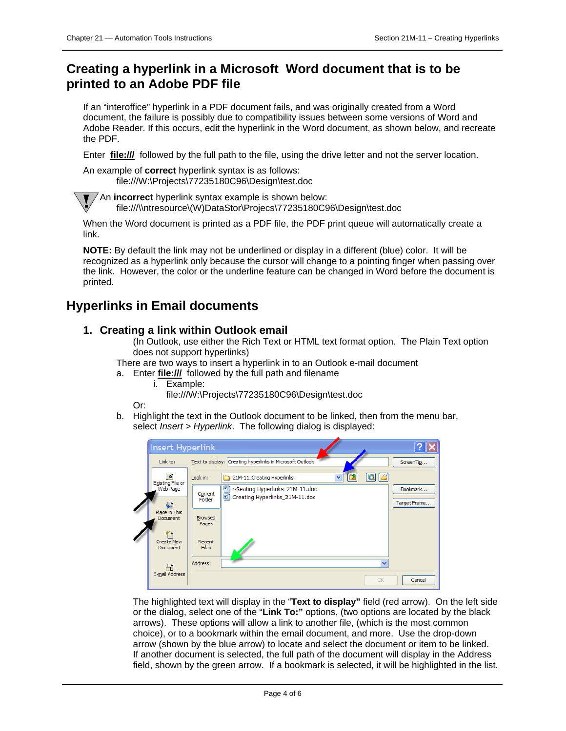### <span id="page-3-0"></span>**Creating a hyperlink in a Microsoft Word document that is to be printed to an Adobe PDF file**

If an "interoffice" hyperlink in a PDF document fails, and was originally created from a Word document, the failure is possibly due to compatibility issues between some versions of Word and Adobe Reader. If this occurs, edit the hyperlink in the Word document, as shown below, and recreate the PDF.

Enter **file:///** followed by the full path to the file, using the drive letter and not the server location.

An example of **correct** hyperlink syntax is as follows: file:///W:\Projects\77235180C96\Design\test.doc

An **incorrect** hyperlink syntax example is shown below:

file:///\\ntresource\(W)DataStor\Projecs\77235180C96\Design\test.doc

When the Word document is printed as a PDF file, the PDF print queue will automatically create a link.

**NOTE:** By default the link may not be underlined or display in a different (blue) color. It will be recognized as a hyperlink only because the cursor will change to a pointing finger when passing over the link. However, the color or the underline feature can be changed in Word before the document is printed.

#### <span id="page-3-1"></span>**Hyperlinks in Email documents**

#### **1. Creating a link within Outlook email**

(In Outlook, use either the Rich Text or HTML text format option. The Plain Text option does not support hyperlinks)

There are two ways to insert a hyperlink in to an Outlook e-mail document

- a. Enter **file:///** followed by the full path and filename
	- i. Example:
		- file:///W:\Projects\77235180C96\Design\test.doc

Or:

b. Highlight the text in the Outlook document to be linked, then from the menu bar, select *Insert > Hyperlink*. The following dialog is displayed:



The highlighted text will display in the "**Text to display"** field (red arrow). On the left side or the dialog, select one of the "**Link To:"** options, (two options are located by the black arrows). These options will allow a link to another file, (which is the most common choice), or to a bookmark within the email document, and more. Use the drop-down arrow (shown by the blue arrow) to locate and select the document or item to be linked. If another document is selected, the full path of the document will display in the Address field, shown by the green arrow. If a bookmark is selected, it will be highlighted in the list.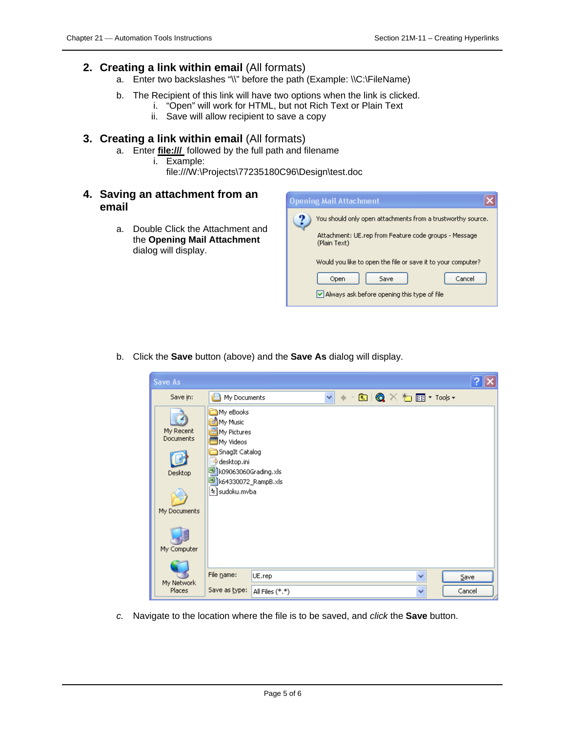#### **2. Creating a link within email** (All formats)

- a. Enter two backslashes "\\" before the path (Example: \\C:\FileName)
- b. The Recipient of this link will have two options when the link is clicked.
	- i. "Open" will work for HTML, but not Rich Text or Plain Text
	- ii. Save will allow recipient to save a copy

#### **3. Creating a link within email** (All formats)

- a. Enter **file:///** followed by the full path and filename
	- i. Example:
		- file:///W:\Projects\77235180C96\Design\test.doc
- **4. Saving an attachment from an email**
	- a. Double Click the Attachment and the **Opening Mail Attachment**  dialog will display.



b. Click the **Save** button (above) and the **Save As** dialog will display.

| <b>Save As</b>                                                          |                                                                                                                                                           |                 |              |  |                     |         |
|-------------------------------------------------------------------------|-----------------------------------------------------------------------------------------------------------------------------------------------------------|-----------------|--------------|--|---------------------|---------|
| Save in:                                                                | e<br>My Documents                                                                                                                                         |                 | $\checkmark$ |  | 图 Q × 1 图 * Tools * |         |
| My Recent<br><b>Documents</b><br>Desktop<br>My Documents<br>My Computer | My eBooks<br>My Music<br>My Pictures<br>My Videos<br>SnagIt Catalog<br>desktop.ini<br>반대 k09063060Grading.xls<br>8 k64330072_RampB.xls<br>¦%] sudoku.mvba |                 |              |  |                     |         |
| My Network                                                              | File name:                                                                                                                                                | UE.rep          |              |  | v                   | $S$ ave |
| Places                                                                  | Save as type:                                                                                                                                             | All Files (*.*) |              |  | v                   | Cancel  |

*c.* Navigate to the location where the file is to be saved, and *click* the **Save** button.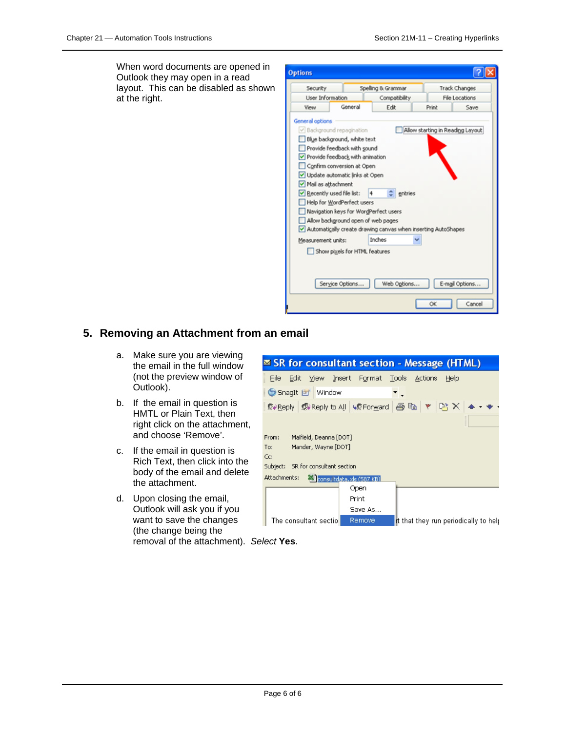When word documents are opened in Outlook they may open in a read layout. This can be disabled as shown at the right.

| <b>Options</b>                                 |                                                                                                                                                                                                                                                                                                         |                                                                               |                                  |                |
|------------------------------------------------|---------------------------------------------------------------------------------------------------------------------------------------------------------------------------------------------------------------------------------------------------------------------------------------------------------|-------------------------------------------------------------------------------|----------------------------------|----------------|
| Security                                       |                                                                                                                                                                                                                                                                                                         | Spelling & Grammar                                                            |                                  | Track Changes  |
| User Information                               |                                                                                                                                                                                                                                                                                                         | Compatibility                                                                 |                                  | File Locations |
| View                                           | General                                                                                                                                                                                                                                                                                                 | Edit                                                                          | Print                            | Save           |
| Mail as attachment<br>Recently used file list: | V Background repagination<br>Blue background, white text<br>Provide feedback with sound<br>Provide feedback with animation<br>Confirm conversion at Open<br>Update automatic links at Open<br>Help for WordPerfect users<br>Navigation keys for WordPerfect users<br>Allow background open of web pages | 4<br>entries<br>Automatically create drawing canvas when inserting AutoShapes | Allow starting in Reading Layout |                |
| Measurement units:                             |                                                                                                                                                                                                                                                                                                         | Inches                                                                        |                                  |                |
|                                                | Show pixels for HTML features<br>Service Options                                                                                                                                                                                                                                                        | Web Options                                                                   |                                  | E-mail Options |
|                                                |                                                                                                                                                                                                                                                                                                         |                                                                               | OK                               | Cancel         |

#### **5. Removing an Attachment from an email**

- a. Make sure you are viewing the email in the full window (not the preview window of Outlook).
- b. If the email in question is HMTL or Plain Text, then right click on the attachment, and choose 'Remove'.
- c. If the email in question is Rich Text, then click into the body of the email and delete the attachment.
- d. Upon closing the email, Outlook will ask you if you want to save the changes (the change being the removal of the attachment). *Select* **Yes**.

| $\leq$ SR for consultant section - Message (HTML)                         |
|---------------------------------------------------------------------------|
| View Insert Format Tools<br>File<br>Edit -<br><b>Actions</b><br>Help      |
| SnagIt Li Window                                                          |
|                                                                           |
|                                                                           |
| Maifield, Deanna [DOT]<br>From:                                           |
| Mander, Wayne [DOT]<br>To:                                                |
| Cc:                                                                       |
| SR for consultant section<br>Subject:                                     |
| Attachments:<br><b>X</b> consultdata.xls (587 KB)                         |
| Open                                                                      |
| Print                                                                     |
| Save As                                                                   |
| The consultant sectiol<br>Remove<br>It that they run periodically to help |